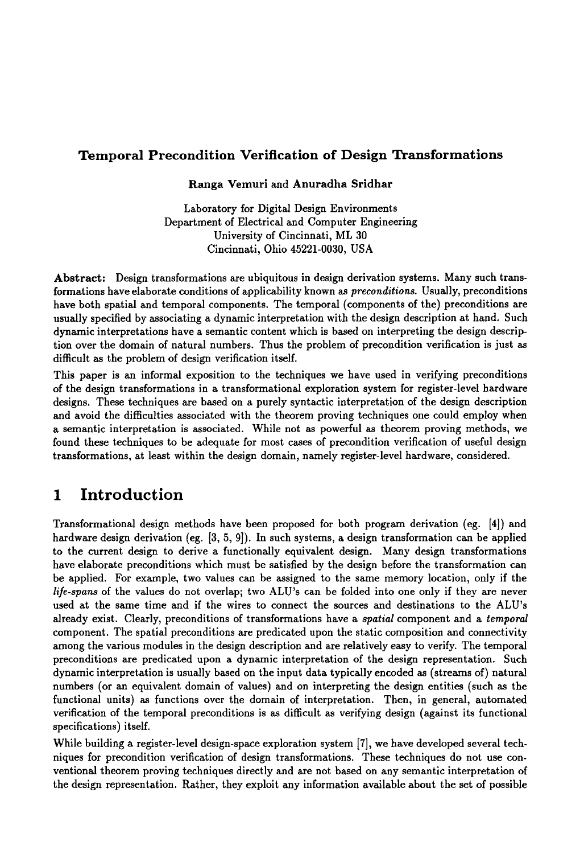#### **Temporal Precondition Verification of Design Transformations**

**Ranga** Vemuri and Anuradha Sridhar

Laboratory for Digital Design Environments Department of Electrical and Computer Engineering University of Cincinnati, ML 30 Cincinnati, Ohio 45221-0030, USA

**Abstract:** Design transformations are ubiquitous in design derivation systems. Many such transformations have elaborate conditions of applicability known as *preconditions.* Usually, preconditions have both spatial and temporal components. The temporal (components of the) preconditions are usually specified by associating a dynamic interpretation with the design description at hand. Such dynamic interpretations have a semantic content which is based on interpreting the design description over the domain of natural numbers. Thus the problem of precondition verification is just as difficult as the problem of design verification itself.

This paper is an informal exposition to the techniques we have used in verifying preconditions of the design transformations in a transformational exploration system for register-level hardware designs. These techniques are based on a purely syntactic interpretation of the design description and avoid the difficulties associated with the theorem proving techniques one could employ when a semantic interpretation is associated. While not as powerful as theorem proving methods, we found these techniques to be adequate for most cases of precondition verification of useful design transformations, at least within the design domain, namely register-level hardware, considered.

# **1 Introduction**

Transformational design methods have been proposed for both program derivation (eg. [4]) and hardware design derivation (eg. [3, 5, 9]). In such systems, a design transformation can be applied to the current design to derive a functionally equivalent design. Many design transformations have elaborate preconditions which must be satisfied by the design before the transformation can be applied. For example, two values can be assigned to the same memory location, only if the *life-spans* of the values do not overlap; two ALU's can be folded into one only if they are never used at the same time and if the wires to connect the sources and destinations to the ALU's already exist. Clearly, preconditions of transformations have a *spatial* component and a *temporal*  component. The spatial preconditions are predicated upon the static composition and connectivity among the various modules in the design description and are relatively easy to verify. The temporal preconditions are predicated upon a dynamic interpretation of the design representation. Such dynamic interpretation is usually based on the input data typically encoded as (streams of) natural numbers (or an equivalent domain of values) and on interpreting the design entities (such as the functional units) as functions over the domain of interpretation. Then, in general, automated verification of the temporal preconditions is as difficult as verifying design (against its functional specifications) itself.

While building a register-level design-space exploration system [7], we have developed several techniques for precondition verification of design transformations. These techniques do not use conventional theorem proving techniques directly and are not based on any semantic interpretation of the design representation. Rather, they exploit any information available about the set of possible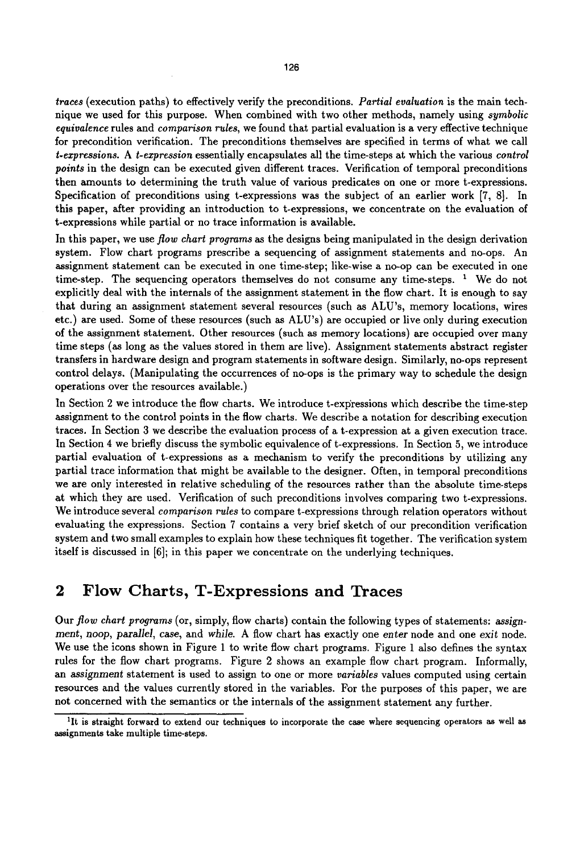*traces* (execution paths) to effectively verify the preconditions. *Partial evaluation* is the main technique we used for this purpose. When combined with two other methods, namely using *symbolic equivalence* rules and *comparison rules,* we found that partial evaluation is a very effective technique for precondition verification. The preconditions themselves are specified in terms of what we call *t.expressions. A t-expression* essentially encapsulates all the time-steps at which the various *control points* in the design can be executed given different traces. Verification of temporal preconditions then amounts to determining the truth value of various predicates on one or more t-expressions. Specification of preconditions using t-expressions was the subject of an earlier work [7, 8]. In this paper, after providing an introduction to t-expressions, we concentrate on the evaluation of t-expressions while partial or no trace information is available.

In this paper, we use *flow chart programs as* the designs being manipulated in the design derivation system. Flow chart programs prescribe a sequencing of assignment statements and no-ops. An assignment statement can be executed in one time-step; like-wise a no-op can be executed in one time-step. The sequencing operators themselves do not consume any time-steps.  $1$  We do not explicitly deal with the internals of the assignment statement in the flow chart. It is enough to say that during an assignment statement several resources (such as ALU's, memory locations, wires etc.) are used. Some of these resources (such as ALU's) are occupied or live only during execution of the assignment statement. Other resources (such as memory locations) are occupied over many time steps (as long as the values stored in them are live). Assignment statements abstract register transfers in hardware design and program statements in software design. Similarly, no-ops represent control delays. (Manipulating the occurrences of no-ops is the primary way to schedule the design operations over the resources available.)

In Section 2 we introduce the flow charts. We introduce t-expressions which describe the time-step assignment to the control points in the flow charts. We describe a notation for describing execution traces. In Section 3 we describe the evaluation process of a t-expression at a given execution trace. In Section 4 we briefly discuss the symbolic equivalence of t-expressions. In Section 5, we introduce partial evaluation of t-expressions as a mechanism to verify the preconditions by utilizing any partial trace information that might be available to the designer. Often, in temporal preconditions we are only interested in relative scheduling of the resources rather than the absolute time-steps at which they are used. Verification of such preconditions involves comparing two t-expressions. We introduce several *comparison rules* to compare t-expressions through relation operators without evaluating the expressions. Section 7 contains a very brief sketch of our precondition verification system and two small examples to explain how these techniques fit together. The verification system itself is discussed in [6]; in this paper we concentrate on the underlying techniques.

#### **2 Flow** Charts, T-Expressions and Traces

Our *flow chart programs* (or, simply, flow charts) contain the following types of statements: *assignment, hoop, parallel,* case, and *while.* A flow chart has exactly one *enter* node and one exit node. We use the icons shown in Figure 1 to write flow chart programs. Figure 1 also defines the syntax rules for the flow chart programs. Figure 2 shows an example flow chart program. Informally, an *assignment* statement is used to assign to one or more *variables* values computed using certain resources and the values currently stored in the variables. For the purposes of this paper, we are not concerned with the semantics or the internals of the assignment statement any further.

lit is straight forward to extend our techniques to incorporate the case where sequencing operators as well **as**  assignments take multiple time-steps.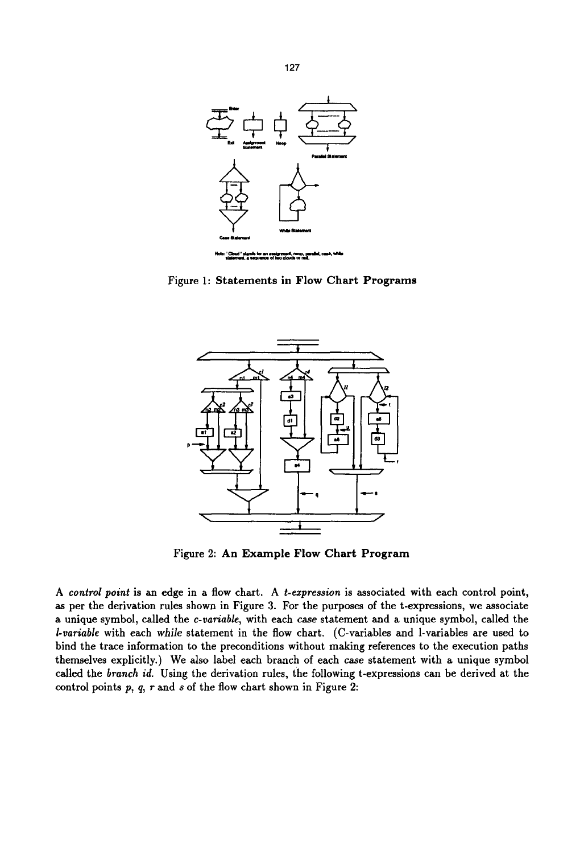

**Figure 1: Statements in Flow Chart Programs** 



**Figure 2: An Example Flow Chart Program** 

*A control point* is an edge in a flow chart. A *t-expression* is associated with each control point, as per the derivation rules shown in Figure 3. For the purposes of the t-expressions, we associate a unique symbol, called the *c-variable,* with each *case* statement and a unique symbol, called the *l-variable* with each *while* statement in the flow chart. (C-variables and l-variables are used to bind the trace information to the preconditions without making references to the execution paths themselves explicitly.) We also label each branch of each case statement with a unique symbol called the *branch id.* Using the derivation rules, the following t-expressions can be derived at the control points  $p$ ,  $q$ ,  $r$  and  $s$  of the flow chart shown in Figure 2: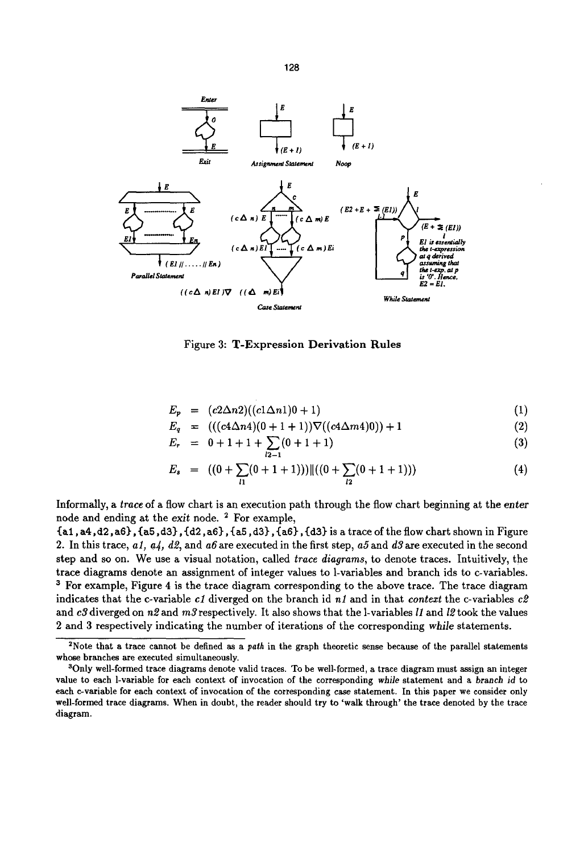

Figure 3: T-Expression Derivation Rules

$$
E_p = (c2\Delta n2)((c1\Delta n1)0+1) \tag{1}
$$

$$
E_q = (((c4\Delta n4)(0+1+1))\nabla ((c4\Delta m4)0)) + 1 \tag{2}
$$

$$
E_r = 0 + 1 + 1 + \sum_{l=1}^{n} (0 + 1 + 1) \tag{3}
$$

$$
E_s = ((0 + \sum_{l1} (0 + 1 + 1)) || ((0 + \sum_{l2} (0 + 1 + 1))) \tag{4}
$$

Informally, a *trace* of a flow chart is an execution path through the flow chart beginning at the enter node and ending at the *exit* node. 2 For example,

{al, a4,d2, a6}, {aS, d3), {d2, a6}, {aS, d3), {a6), {d3} is a trace of the flow chart shown in Figure 2. In this trace, *al, a4, d2,* and a6are executed in the first step, *a5and d3are* executed in the second step and so on. We use a visual notation, called *trace diagrams,* to denote traces. Intuitively, the trace diagrams denote an assignment of integer values to 1-variables and branch ids to c-variables. 3 For example, Figure 4 is the trace diagram corresponding to the above trace. The trace diagram indicates that the c-variable *cl* diverged on the branch id *nl* and in that *context* the c-variables *c2*  and *c3* diverged on n2 and m3 respectively. It also shows that the 1-variables *I1* and *I2* took the values 2 and 3 respectively indicating the number of iterations of the corresponding *while* statements.

128

<sup>2</sup>Note that a trace cannot be defined as a *path* in the graph theoretic sense because of the parallel statements whose branches are executed simultaneously.

<sup>&</sup>lt;sup>3</sup>Only well-formed trace diagrams denote valid traces. To be well-formed, a trace diagram must assign an integer value to each 1-variable for each context of invocation of the corresponding *while* statement and a *branch* id to each c-variable for each context of invocation of the corresponding case statement. In this paper we consider only well-formed trace diagrams. When in doubt, the reader should try to 'walk through' the trace denoted by the trace diagram.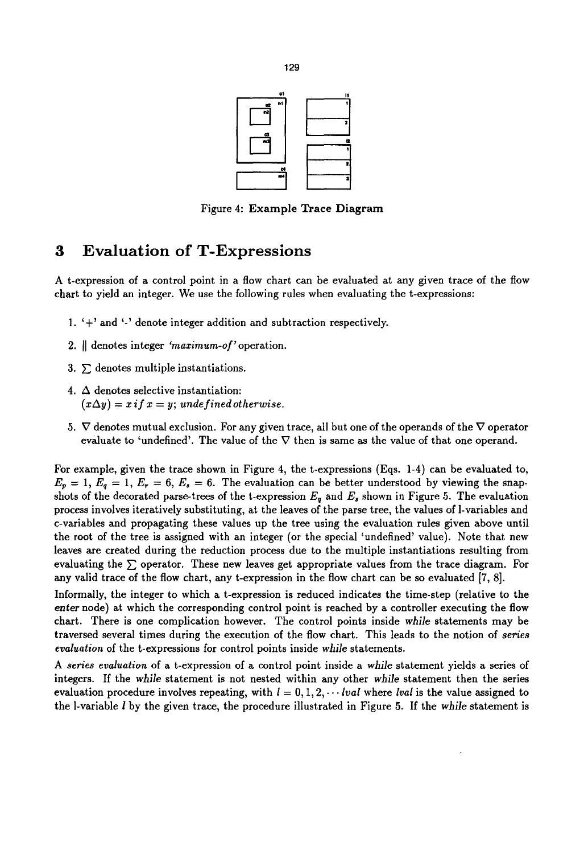

Figure 4: Example Trace Diagram

## **3 Evaluation of T-Expressions**

A t-expression of a control point in a flow chart can be evaluated at any given trace of the flow chart to yield an integer. We use the following rules when evaluating the t-expressions:

- 1. '+' and '-' denote integer addition and subtraction respectively.
- 2. [[ denotes integer *'maximum-of'* operation.
- 3.  $\Sigma$  denotes multiple instantiations.
- 4.  $\Delta$  denotes selective instantiation:  $(x\Delta y) = x$  *if*  $x = y$ ; undefined otherwise.
- 5.  $\nabla$  denotes mutual exclusion. For any given trace, all but one of the operands of the  $\nabla$  operator evaluate to 'undefined'. The value of the  $\nabla$  then is same as the value of that one operand.

For example, given the trace shown in Figure 4, the t-expressions (Eqs. 1-4) can be evaluated to,  $E_p = 1, E_q = 1, E_r = 6, E_s = 6$ . The evaluation can be better understood by viewing the snapshots of the decorated parse-trees of the t-expression  $E_q$  and  $E_s$  shown in Figure 5. The evaluation process involves iteratively substituting, at the leaves of the parse tree, the values of 1-variables and c-variables and propagating these values up the tree using the evaluation rules given above until the root of the tree is assigned with an integer (or the special 'undefined' value). Note that new leaves are created during the reduction process due to the multiple instantiations resulting from evaluating the  $\Sigma$  operator. These new leaves get appropriate values from the trace diagram. For any valid trace of the flow chart, any t-expression in the flow chart can be so evaluated [7, 8].

Informally, the integer to which a t-expression is reduced indicates the time-step (relative to the *enter* node) at which the corresponding control point is reached by a controller executing the flow chart. There is one complication however. The control points inside *while* statements may be traversed several times during the execution of the flow chart. This leads to the notion of *series evaluation* of the t-expressions for control points inside *while* statements.

*A series evaluation* of a t-expression of a control point inside a *while* statement yields a series of integers. If the *while* statement is not nested within any other *while* statement then the series evaluation procedure involves repeating, with  $l = 0, 1, 2, \cdots$  *lval* where *lval* is the value assigned to the 1-variable I by the given trace, the procedure illustrated in Figure 5. If the *while* statement is

129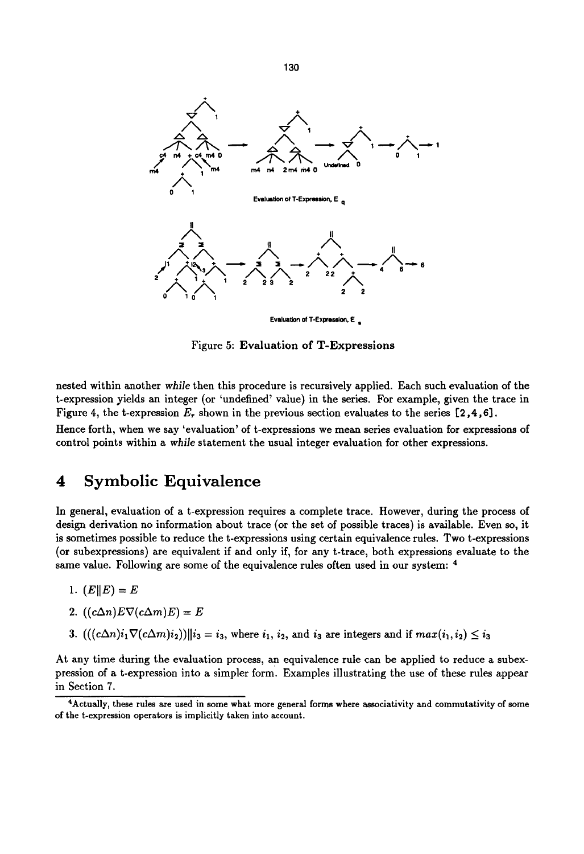

Evaluation of T-Expression,  $E_{\text{g}}$ 

Figure 5: Evaluation of T-Expressions

nested within another *while* then this procedure is recursively applied. Each such evaluation of the t-expression yields an integer (or 'undefined' value) in the series. For example, given the trace in Figure 4, the t-expression  $E_r$  shown in the previous section evaluates to the series [2,4,6]. Hence forth, when we say 'evaluation' of t-expressions we mean series evaluation for expressions of control points within a *while* statement the usual integer evaluation for other expressions.

### **4 Symbolic Equivalence**

In general, evaluation of a t-expression requires a complete trace. However, during the process of design derivation no information about trace (or the set of possible traces) is available. Even so, it is sometimes possible to reduce the t-expressions using certain equivalence rules. Two t-expressions (or subexpressions) are equivalent if and only if, for any t-trace, both expressions evaluate to the same value. Following are some of the equivalence rules often used in our system: 4

1.  $(E||E) = E$ 

2. 
$$
((c\Delta n)E\nabla(c\Delta m)E) = E
$$

3.  $(((c\Delta n)i_1\nabla(c\Delta m)i_2))||i_3 = i_3$ , where  $i_1, i_2$ , and  $i_3$  are integers and if  $max(i_1, i_2) \leq i_3$ 

At any time during the evaluation process, an equivalence rule can be applied to reduce a subexpression of a t-expression into a simpler form. Examples illustrating the use of these rules appear in Section 7.

130

<sup>&</sup>lt;sup>4</sup>Actually, these rules are used in some what more general forms where associativity and commutativity of some of the t-expression operators is implicitly taken into account.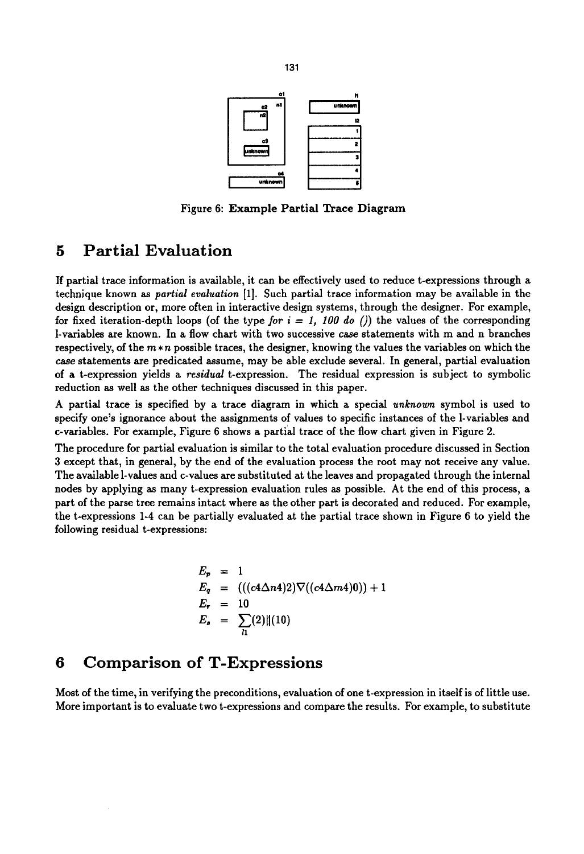

Figure 6: **Example Partial Trace** Diagram

### **5 Partial Evaluation**

If partial trace information is available, it can be effectively used to reduce t-expressions through a technique known as *partial evaluation* [1]. Such partial trace information may be available in the design description or, more often in interactive design systems, through the designer. For example, for fixed iteration-depth loops (of the type *for*  $i = 1$ , 100 do ()) the values of the corresponding l-variables are known. In a flow chart with two successive case statements with m and n branches respectively, of the  $m * n$  possible traces, the designer, knowing the values the variables on which the case statements are predicated assume, may be able exclude several. In general, partial evaluation of a t-expression yields a *residual* t-expression. The residual expression is subject to symbolic reduction as well as the other techniques discussed in this paper.

A partial trace is specified by a trace diagram in which a special *unknown* symbol is used to specify one's ignorance about the assignments of values to specific instances of the 1-variables and c-variables. For example, Figure 6 shows a partial trace of the flow chart given in Figure 2.

The procedure for partial evaluation is similar to the total evaluation procedure discussed in Section 3 except that, in general, by the end of the evaluation process the root may not receive any value. The available 1-values and c-values are substituted at the leaves and propagated through the internal nodes by applying as many t-expression evaluation rules as possible. At the end of this process, a part of the parse tree remains intact where as the other part is decorated and reduced. For example, the t-expressions 1-4 can be partially evaluated at the partial trace shown in Figure 6 to yield the following residual t-expressions:

$$
E_p = 1
$$
  
\n
$$
E_q = (((c4\Delta n4)2)\nabla ((c4\Delta m4)0)) + 1
$$
  
\n
$$
E_r = 10
$$
  
\n
$$
E_s = \sum_{l_1} (2) ||(10)
$$

# **6 Comparison of T-Expressions**

Most of the time, in verifying the preconditions, evaluation of one t-expression in itself is of little use. More important is to evaluate two t-expressions and compare the results. For example, to substitute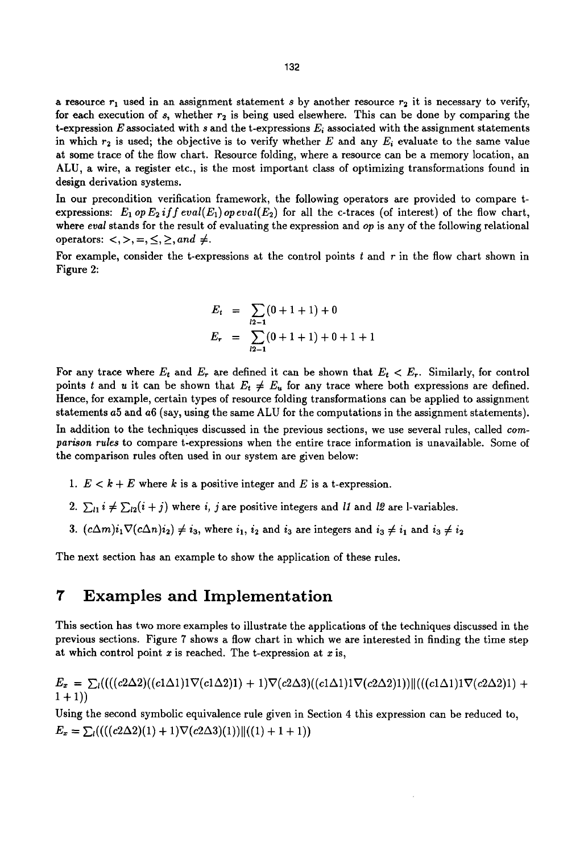a resource  $r_1$  used in an assignment statement s by another resource  $r_2$  it is necessary to verify, for each execution of  $s$ , whether  $r<sub>2</sub>$  is being used elsewhere. This can be done by comparing the t-expression E associated with s and the t-expressions  $E_i$  associated with the assignment statements in which  $r_2$  is used; the objective is to verify whether E and any  $E_i$  evaluate to the same value at some trace of the flow chart. Resource folding, where a resource can be a memory location, an ALU, a wire, a register etc., is the most important class of optimizing transformations found in design derivation systems.

In our precondition verification framework, the following operators are provided to compare texpressions:  $E_1$  op  $E_2$  if  $f$  eval( $E_1$ ) opeval( $E_2$ ) for all the c-traces (of interest) of the flow chart, where *eval* stands for the result of evaluating the expression and *op* is any of the following relational operators:  $\langle \rangle, \rangle, \langle \rangle, \rangle, \rangle, \rangle$ 

For example, consider the t-expressions at the control points  $t$  and  $r$  in the flow chart shown in Figure 2:

$$
E_t = \sum_{l2-1} (0 + 1 + 1) + 0
$$
  

$$
E_r = \sum_{l2-1} (0 + 1 + 1) + 0 + 1 + 1
$$

For any trace where  $E_t$  and  $E_r$  are defined it can be shown that  $E_t < E_r$ . Similarly, for control points t and u it can be shown that  $E_t \neq E_u$  for any trace where both expressions are defined. Hence, for example, certain types of resource folding transformations can be applied to assignment statements a5 and a6 (say, using the same ALU for the computations in the assignment statements).

In addition to the techniques discussed in the previous sections, we use several rules, called *comparison rules* to compare t-expressions when the entire trace information is unavailable. Some of the comparison rules often used in our system are given below:

- 1.  $E < k + E$  where k is a positive integer and E is a t-expression.
- 2.  $\sum_{i} i \neq \sum_{i} (i + j)$  where *i*, *j* are positive integers and *l1* and *l2* are l-variables.
- 3.  $(c\Delta m)i_1\nabla(c\Delta n)i_2 \neq i_3$ , where  $i_1, i_2$  and  $i_3$  are integers and  $i_3 \neq i_1$  and  $i_3 \neq i_2$

The next section has an example to show the application of these rules.

#### **7 Examples and Implementation**

This section has two more examples to illustrate the applications of the techniques discussed in the previous sections. Figure 7 shows a flow chart in which we are interested in finding the time step at which control point  $x$  is reached. The t-expression at  $x$  is,

 $E_x = \sum_l (((c2\Delta2)((c1\Delta1)1\nabla(c1\Delta2)) + 1)\nabla(c2\Delta3)((c1\Delta1)1\nabla(c2\Delta2)1) || ((c1\Delta1)1\nabla(c2\Delta2)1) +$  $1+1)$ 

Using the second symbolic equivalence rule given in Section 4 this expression can be reduced to,  $E_x = \sum_l (((c2\Delta2)(1) + 1)\nabla(c2\Delta3)(1))||((1) + 1 + 1))$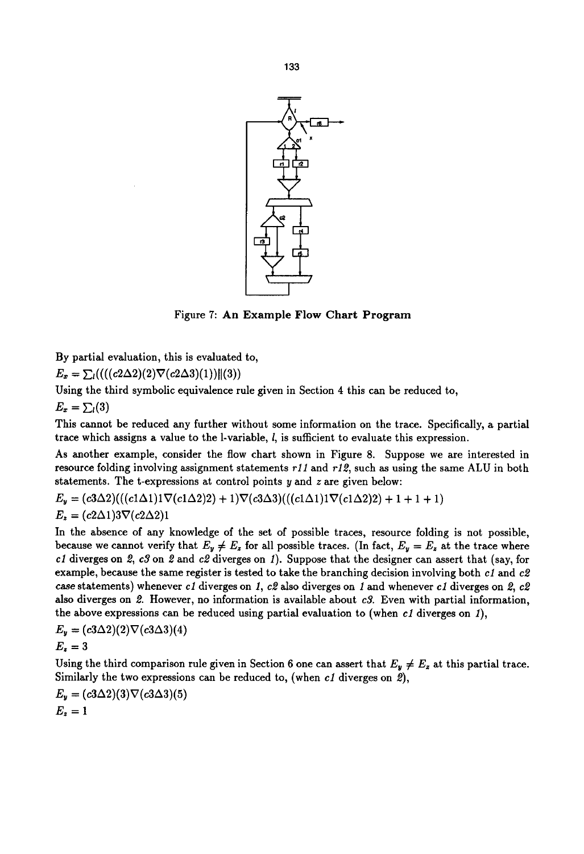

Figure 7: An Example Flow Chart Program

By partial evaluation, this is evaluated to,

 $E_x = \sum_l (((c2\Delta2)(2)\nabla(c2\Delta3)(1))||(3))$ 

Using the third symbolic equivalence rule given in Section 4 this can be reduced to,

 $E_x = \sum_l(3)$ 

This cannot be reduced any further without some information on the trace. Specifically, a partial trace which assigns a value to the 1-variable, l, is sufficient to evaluate this expression.

As another example, consider the flow chart shown in Figure 8. Suppose we are interested in resource folding involving assignment statements *rll* and r12, such as using the same ALU in both statements. The t-expressions at control points y and z are given below:

 $E_y = (c3\Delta2)((c1\Delta1)1\nabla(c1\Delta2)2) + 1)\nabla(c3\Delta3)((c1\Delta1)1\nabla(c1\Delta2)2) + 1 + 1 + 1)$  $E_z = (c2\Delta 1)3\nabla (c2\Delta 2)1$ 

In the absence of any knowledge of the set of possible traces, resource folding is not possible, because we cannot verify that  $E_y \neq E_z$  for all possible traces. (In fact,  $E_y = E_z$  at the trace where c1 diverges on 2,  $c3$  on 2 and  $c2$  diverges on 1). Suppose that the designer can assert that (say, for example, because the same register is tested to take the branching decision involving both *cl* and c2 case statements) whenever c1 diverges on 1, c2 also diverges on 1 and whenever c1 diverges on  $2$ , c2 also diverges on 2. However, no information is available about *c3.* Even with partial information, the above expressions can be reduced using partial evaluation to (when *cl* diverges on 1),

$$
E_y = (c3\Delta 2)(2)\nabla(c3\Delta 3)(4)
$$
  

$$
E_z = 3
$$

Using the third comparison rule given in Section 6 one can assert that  $E_y \neq E_z$  at this partial trace. Similarly the two expressions can be reduced to, (when *c1* diverges on 2),

$$
E_y = (c3\Delta 2)(3)\nabla(c3\Delta 3)(5)
$$
  

$$
E_z = 1
$$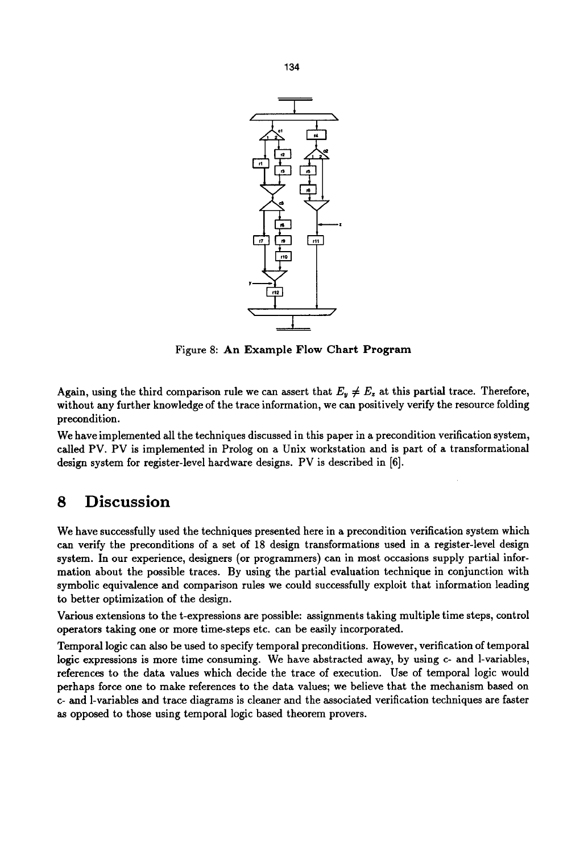

Figure 8: An Example Flow Chart Program

Again, using the third comparison rule we can assert that  $E_y \neq E_z$  at this partial trace. Therefore, without any further knowledge of the trace information, we can positively verify the resource folding precondition.

We have implemented all the techniques discussed in this paper in a precondition verification system, called PV. PV is implemented in Prolog on a Unix workstation and is part of a transformational design system for register-level hardware designs. PV is described in [6].

### **8 Discussion**

We have successfully used the techniques presented here in a precondition verification system which can verify the preconditions of a set of 18 design transformations used in a register-level design system. In our experience, designers (or programmers) can in most occasions supply partial information about the possible traces. By using the partial evaluation technique in conjunction with symbolic equivalence and comparison rules we could successfully exploit that information leading to better optimization of the design.

Various extensions to the t-expressions are possible: assignments taking multiple time steps, control operators taking one or more time-steps etc. can be easily incorporated.

Temporal logic can also be used to specify temporal preconditions. However, verification of temporal logic expressions is more time consuming. We have abstracted away, by using c- and 1-variables, references to the data values which decide the trace of execution. Use of temporal logic would perhaps force one to make references to the data values; we believe that the mechanism based on c- and 1-variables and trace diagrams is cleaner and the associated verification techniques are faster as opposed to those using temporal logic based theorem provers.